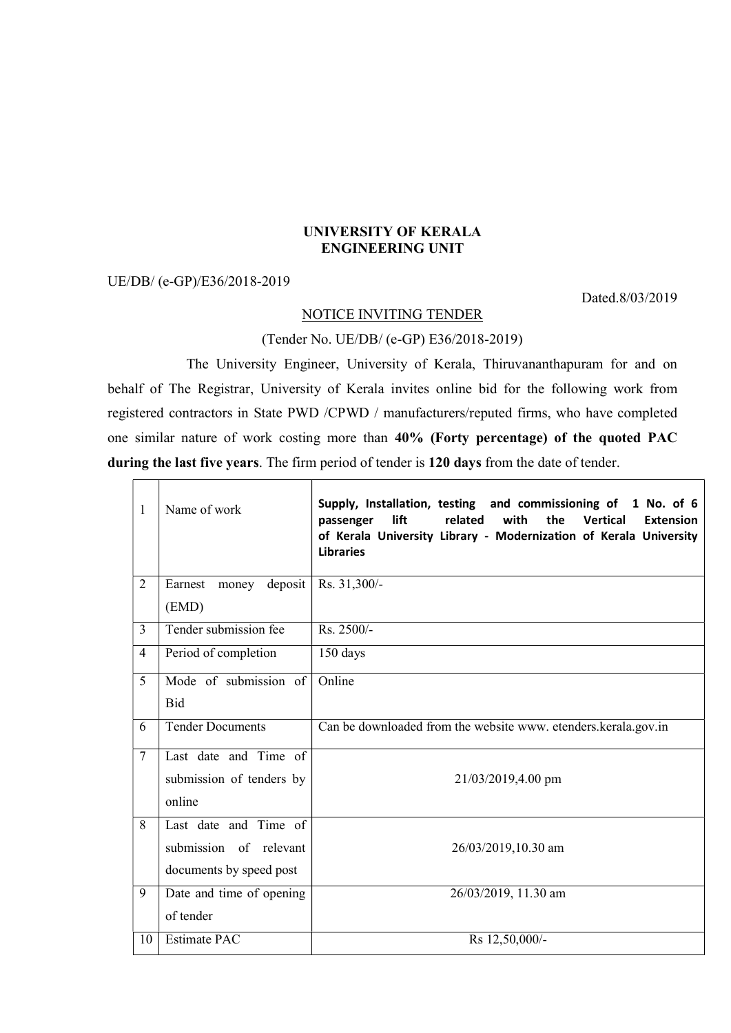## UNIVERSITY OF KERALA ENGINEERING UNIT

## UE/DB/ (e-GP)/E36/2018-2019

Dated.8/03/2019

## NOTICE INVITING TENDER

(Tender No. UE/DB/ (e-GP) E36/2018-2019)

 The University Engineer, University of Kerala, Thiruvananthapuram for and on behalf of The Registrar, University of Kerala invites online bid for the following work from registered contractors in State PWD /CPWD / manufacturers/reputed firms, who have completed one similar nature of work costing more than 40% (Forty percentage) of the quoted PAC during the last five years. The firm period of tender is 120 days from the date of tender.

| 1              | Name of work             | Supply, Installation, testing and commissioning of 1 No. of 6<br>lift<br>related<br>with<br>the<br><b>Vertical</b><br>passenger<br><b>Extension</b><br>of Kerala University Library - Modernization of Kerala University<br><b>Libraries</b> |
|----------------|--------------------------|----------------------------------------------------------------------------------------------------------------------------------------------------------------------------------------------------------------------------------------------|
| $\overline{2}$ | deposit<br>Earnest money | Rs. 31,300/-                                                                                                                                                                                                                                 |
|                | (EMD)                    |                                                                                                                                                                                                                                              |
| 3              | Tender submission fee    | Rs. 2500/-                                                                                                                                                                                                                                   |
| 4              | Period of completion     | 150 days                                                                                                                                                                                                                                     |
| 5              | Mode of submission of    | Online                                                                                                                                                                                                                                       |
|                | <b>Bid</b>               |                                                                                                                                                                                                                                              |
| 6              | <b>Tender Documents</b>  | Can be downloaded from the website www. etenders.kerala.gov.in                                                                                                                                                                               |
| $\overline{7}$ | Last date and Time of    |                                                                                                                                                                                                                                              |
|                | submission of tenders by | 21/03/2019,4.00 pm                                                                                                                                                                                                                           |
|                | online                   |                                                                                                                                                                                                                                              |
| 8              | Last date and Time of    |                                                                                                                                                                                                                                              |
|                | submission of relevant   | 26/03/2019,10.30 am                                                                                                                                                                                                                          |
|                | documents by speed post  |                                                                                                                                                                                                                                              |
| 9              | Date and time of opening | 26/03/2019, 11.30 am                                                                                                                                                                                                                         |
|                | of tender                |                                                                                                                                                                                                                                              |
| 10             | Estimate PAC             | Rs 12,50,000/-                                                                                                                                                                                                                               |